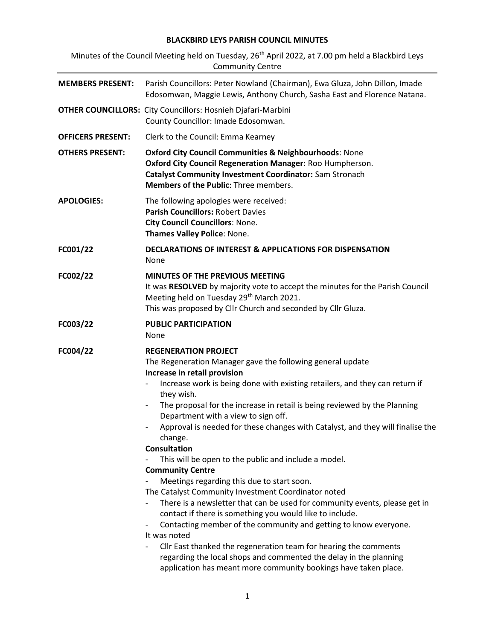## BLACKBIRD LEYS PARISH COUNCIL MINUTES

Minutes of the Council Meeting held on Tuesday, 26<sup>th</sup> April 2022, at 7.00 pm held a Blackbird Leys Community Centre

| <b>MEMBERS PRESENT:</b>  | Parish Councillors: Peter Nowland (Chairman), Ewa Gluza, John Dillon, Imade<br>Edosomwan, Maggie Lewis, Anthony Church, Sasha East and Florence Natana.                                                                                                                                                                                                                                                                                                                                                                                                                                                                                                                                                                                                                                                                                                                                                                                                                                                                                                                                                                                                  |  |  |
|--------------------------|----------------------------------------------------------------------------------------------------------------------------------------------------------------------------------------------------------------------------------------------------------------------------------------------------------------------------------------------------------------------------------------------------------------------------------------------------------------------------------------------------------------------------------------------------------------------------------------------------------------------------------------------------------------------------------------------------------------------------------------------------------------------------------------------------------------------------------------------------------------------------------------------------------------------------------------------------------------------------------------------------------------------------------------------------------------------------------------------------------------------------------------------------------|--|--|
|                          | <b>OTHER COUNCILLORS:</b> City Councillors: Hosnieh Djafari-Marbini<br>County Councillor: Imade Edosomwan.                                                                                                                                                                                                                                                                                                                                                                                                                                                                                                                                                                                                                                                                                                                                                                                                                                                                                                                                                                                                                                               |  |  |
| <b>OFFICERS PRESENT:</b> | Clerk to the Council: Emma Kearney                                                                                                                                                                                                                                                                                                                                                                                                                                                                                                                                                                                                                                                                                                                                                                                                                                                                                                                                                                                                                                                                                                                       |  |  |
| <b>OTHERS PRESENT:</b>   | <b>Oxford City Council Communities &amp; Neighbourhoods: None</b><br>Oxford City Council Regeneration Manager: Roo Humpherson.<br><b>Catalyst Community Investment Coordinator: Sam Stronach</b><br>Members of the Public: Three members.                                                                                                                                                                                                                                                                                                                                                                                                                                                                                                                                                                                                                                                                                                                                                                                                                                                                                                                |  |  |
| <b>APOLOGIES:</b>        | The following apologies were received:<br>Parish Councillors: Robert Davies<br><b>City Council Councillors: None.</b><br>Thames Valley Police: None.                                                                                                                                                                                                                                                                                                                                                                                                                                                                                                                                                                                                                                                                                                                                                                                                                                                                                                                                                                                                     |  |  |
| FC001/22                 | <b>DECLARATIONS OF INTEREST &amp; APPLICATIONS FOR DISPENSATION</b><br>None                                                                                                                                                                                                                                                                                                                                                                                                                                                                                                                                                                                                                                                                                                                                                                                                                                                                                                                                                                                                                                                                              |  |  |
| FC002/22                 | MINUTES OF THE PREVIOUS MEETING<br>It was RESOLVED by majority vote to accept the minutes for the Parish Council<br>Meeting held on Tuesday 29 <sup>th</sup> March 2021.<br>This was proposed by Cllr Church and seconded by Cllr Gluza.                                                                                                                                                                                                                                                                                                                                                                                                                                                                                                                                                                                                                                                                                                                                                                                                                                                                                                                 |  |  |
| FC003/22                 | <b>PUBLIC PARTICIPATION</b><br>None                                                                                                                                                                                                                                                                                                                                                                                                                                                                                                                                                                                                                                                                                                                                                                                                                                                                                                                                                                                                                                                                                                                      |  |  |
| FC004/22                 | <b>REGENERATION PROJECT</b><br>The Regeneration Manager gave the following general update<br>Increase in retail provision<br>Increase work is being done with existing retailers, and they can return if<br>they wish.<br>The proposal for the increase in retail is being reviewed by the Planning<br>$\overline{\phantom{a}}$<br>Department with a view to sign off.<br>Approval is needed for these changes with Catalyst, and they will finalise the<br>change.<br><b>Consultation</b><br>This will be open to the public and include a model.<br><b>Community Centre</b><br>Meetings regarding this due to start soon.<br>The Catalyst Community Investment Coordinator noted<br>There is a newsletter that can be used for community events, please get in<br>contact if there is something you would like to include.<br>Contacting member of the community and getting to know everyone.<br>It was noted<br>Cllr East thanked the regeneration team for hearing the comments<br>$\overline{\phantom{a}}$<br>regarding the local shops and commented the delay in the planning<br>application has meant more community bookings have taken place. |  |  |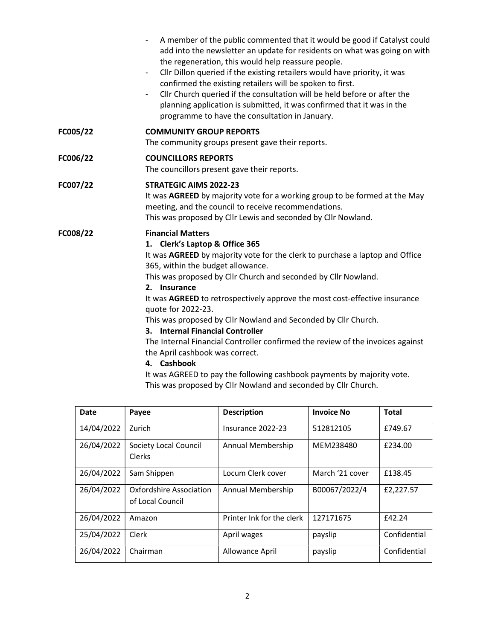|          | A member of the public commented that it would be good if Catalyst could<br>add into the newsletter an update for residents on what was going on with<br>the regeneration, this would help reassure people.<br>Cllr Dillon queried if the existing retailers would have priority, it was<br>$\overline{\phantom{a}}$<br>confirmed the existing retailers will be spoken to first.<br>Cllr Church queried if the consultation will be held before or after the<br>$\overline{\phantom{a}}$<br>planning application is submitted, it was confirmed that it was in the<br>programme to have the consultation in January.                                                                     |  |  |  |
|----------|-------------------------------------------------------------------------------------------------------------------------------------------------------------------------------------------------------------------------------------------------------------------------------------------------------------------------------------------------------------------------------------------------------------------------------------------------------------------------------------------------------------------------------------------------------------------------------------------------------------------------------------------------------------------------------------------|--|--|--|
| FC005/22 | <b>COMMUNITY GROUP REPORTS</b><br>The community groups present gave their reports.                                                                                                                                                                                                                                                                                                                                                                                                                                                                                                                                                                                                        |  |  |  |
| FC006/22 | <b>COUNCILLORS REPORTS</b><br>The councillors present gave their reports.                                                                                                                                                                                                                                                                                                                                                                                                                                                                                                                                                                                                                 |  |  |  |
| FC007/22 | <b>STRATEGIC AIMS 2022-23</b><br>It was AGREED by majority vote for a working group to be formed at the May<br>meeting, and the council to receive recommendations.<br>This was proposed by Cllr Lewis and seconded by Cllr Nowland.                                                                                                                                                                                                                                                                                                                                                                                                                                                      |  |  |  |
| FC008/22 | <b>Financial Matters</b><br>1. Clerk's Laptop & Office 365<br>It was AGREED by majority vote for the clerk to purchase a laptop and Office<br>365, within the budget allowance.<br>This was proposed by Cllr Church and seconded by Cllr Nowland.<br>2. Insurance<br>It was AGREED to retrospectively approve the most cost-effective insurance<br>quote for 2022-23.<br>This was proposed by Cllr Nowland and Seconded by Cllr Church.<br>3. Internal Financial Controller<br>The Internal Financial Controller confirmed the review of the invoices against<br>the April cashbook was correct.<br>4. Cashbook<br>It was AGREED to pay the following cashbook payments by majority vote. |  |  |  |

| It was AUNEED to pay the following cashbook payments by majority vo |
|---------------------------------------------------------------------|
| This was proposed by Cllr Nowland and seconded by Cllr Church.      |

| Date       | Payee                                              | <b>Description</b>        | <b>Invoice No</b> | <b>Total</b> |
|------------|----------------------------------------------------|---------------------------|-------------------|--------------|
| 14/04/2022 | Zurich                                             | Insurance 2022-23         | 512812105         | £749.67      |
| 26/04/2022 | Society Local Council<br><b>Clerks</b>             | Annual Membership         | MEM238480         | £234.00      |
| 26/04/2022 | Sam Shippen                                        | Locum Clerk cover         | March '21 cover   | £138.45      |
| 26/04/2022 | <b>Oxfordshire Association</b><br>of Local Council | Annual Membership         | B00067/2022/4     | £2,227.57    |
| 26/04/2022 | Amazon                                             | Printer Ink for the clerk | 127171675         | £42.24       |
| 25/04/2022 | Clerk                                              | April wages               | payslip           | Confidential |
| 26/04/2022 | Chairman                                           | Allowance April           | payslip           | Confidential |